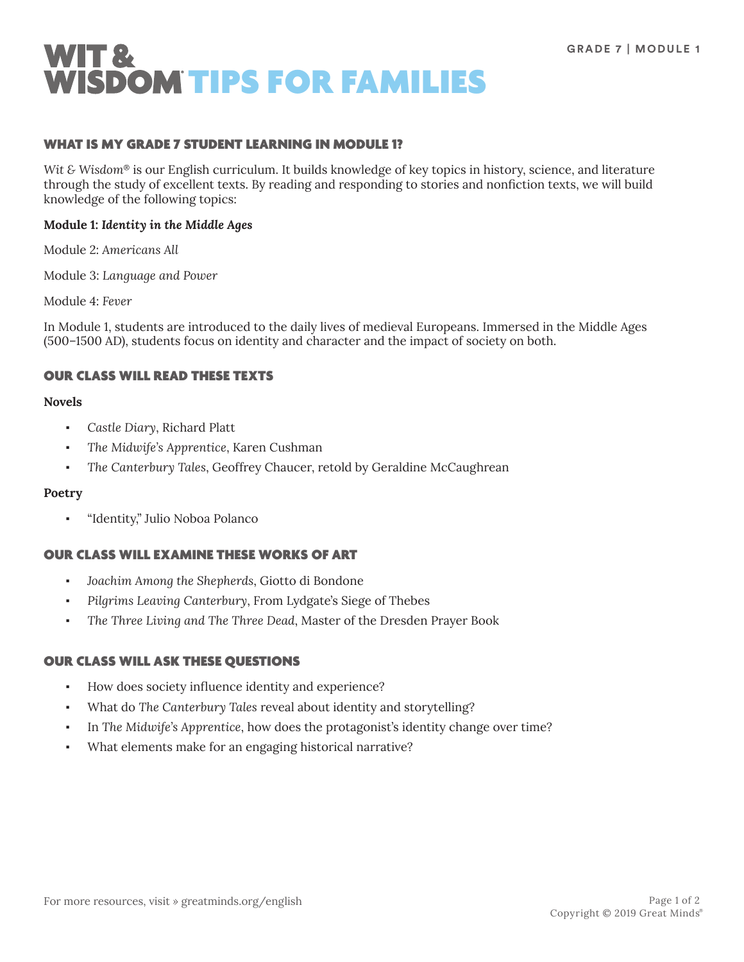

### WHAT IS MY GRADE 7 STUDENT LEARNING IN MODULE 1?

*Wit & Wisdom*® is our English curriculum. It builds knowledge of key topics in history, science, and literature through the study of excellent texts. By reading and responding to stories and nonfiction texts, we will build knowledge of the following topics:

### **Module 1:** *Identity in the Middle Ages*

Module 2: *Americans All*

Module 3: *Language and Power*

Module 4: *Fever*

In Module 1, students are introduced to the daily lives of medieval Europeans. Immersed in the Middle Ages (500–1500 AD), students focus on identity and character and the impact of society on both.

## OUR CLASS WILL READ THESE TEXTS

### **Novels**

- Castle Diary, Richard Platt
- The Midwife's Apprentice, Karen Cushman
- The Canterbury Tales, Geoffrey Chaucer, retold by Geraldine McCaughrean

#### **Poetry**

▪ "Identity," Julio Noboa Polanco

## OUR CLASS WILL EXAMINE THESE WORKS OF ART

- Joachim Among the Shepherds, Giotto di Bondone
- Pilgrims Leaving Canterbury, From Lydgate's Siege of Thebes
- The Three Living and The Three Dead, Master of the Dresden Prayer Book

## OUR CLASS WILL ASK THESE QUESTIONS

- How does society influence identity and experience?
- What do *The Canterbury Tales* reveal about identity and storytelling?
- In *The Midwife's Apprentice*, how does the protagonist's identity change over time?
- What elements make for an engaging historical narrative?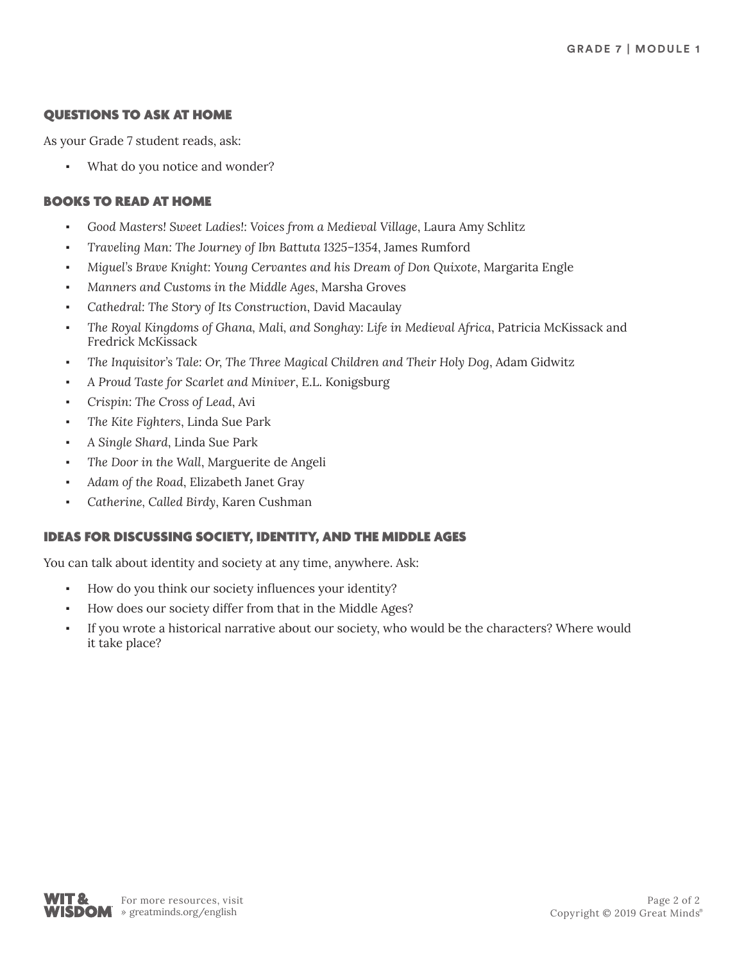# QUESTIONS TO ASK AT HOME

As your Grade 7 student reads, ask:

What do you notice and wonder?

# BOOKS TO READ AT HOME

- *Good Masters! Sweet Ladies!: Voices from a Medieval Village*, Laura Amy Schlitz
- *Traveling Man: The Journey of Ibn Battuta 1325–1354*, James Rumford
- *Miguel's Brave Knight: Young Cervantes and his Dream of Don Quixote*, Margarita Engle
- *Manners and Customs in the Middle Ages*, Marsha Groves
- Cathedral: The Story of Its Construction, David Macaulay
- *The Royal Kingdoms of Ghana, Mali, and Songhay: Life in Medieval Africa*, Patricia McKissack and Fredrick McKissack
- *The Inquisitor's Tale: Or, The Three Magical Children and Their Holy Dog*, Adam Gidwitz
- *A Proud Taste for Scarlet and Miniver*, E.L. Konigsburg
- *Crispin: The Cross of Lead*, Avi
- *The Kite Fighters*, Linda Sue Park
- *A Single Shard*, Linda Sue Park
- The Door in the Wall, Marguerite de Angeli
- Adam of the Road, Elizabeth Janet Gray
- *Catherine, Called Birdy*, Karen Cushman

## IDEAS FOR DISCUSSING SOCIETY, IDENTITY, AND THE MIDDLE AGES

You can talk about identity and society at any time, anywhere. Ask:

- How do you think our society influences your identity?
- How does our society differ from that in the Middle Ages?
- If you wrote a historical narrative about our society, who would be the characters? Where would it take place?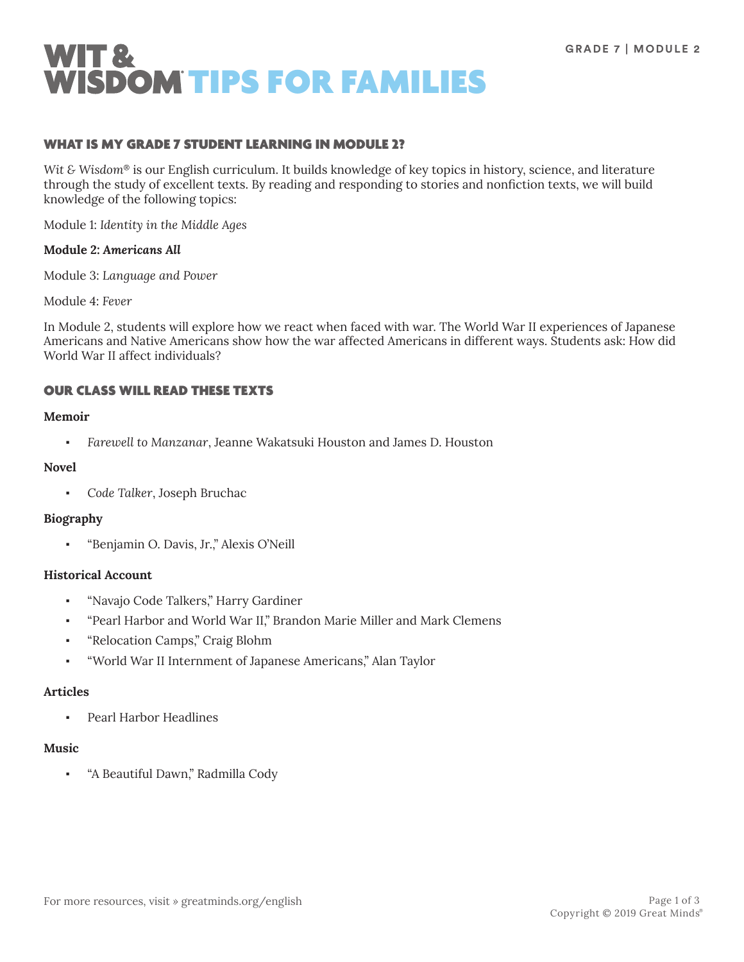

## WHAT IS MY GRADE 7 STUDENT LEARNING IN MODULE 2?

*Wit & Wisdom*® is our English curriculum. It builds knowledge of key topics in history, science, and literature through the study of excellent texts. By reading and responding to stories and nonfiction texts, we will build knowledge of the following topics:

Module 1: *Identity in the Middle Ages*

### **Module 2:** *Americans All*

Module 3: *Language and Power*

Module 4: *Fever*

In Module 2, students will explore how we react when faced with war. The World War II experiences of Japanese Americans and Native Americans show how the war affected Americans in different ways. Students ask: How did World War II affect individuals?

# OUR CLASS WILL READ THESE TEXTS

#### **Memoir**

▪ *Farewell to Manzanar*, Jeanne Wakatsuki Houston and James D. Houston

### **Novel**

▪ *Code Talker*, Joseph Bruchac

#### **Biography**

"Benjamin O. Davis, Jr.," Alexis O'Neill

### **Historical Account**

- "Navajo Code Talkers," Harry Gardiner
- "Pearl Harbor and World War II," Brandon Marie Miller and Mark Clemens
- "Relocation Camps," Craig Blohm
- "World War II Internment of Japanese Americans," Alan Taylor

#### **Articles**

Pearl Harbor Headlines

### **Music**

"A Beautiful Dawn," Radmilla Cody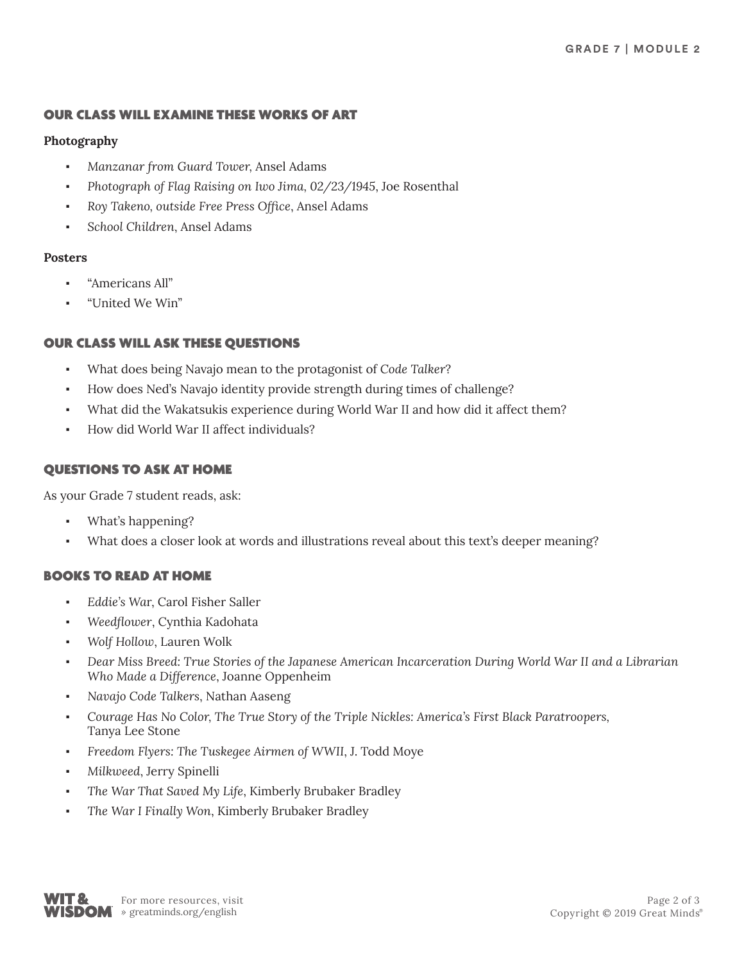# OUR CLASS WILL EXAMINE THESE WORKS OF ART

# **Photography**

- *Manzanar from Guard Tower,* Ansel Adams
- *Photograph of Flag Raising on Iwo Jima, 02/23/1945*, Joe Rosenthal
- *Roy Takeno, outside Free Press Office*, Ansel Adams
- *School Children*, Ansel Adams

# **Posters**

- "Americans All"
- "United We Win"

# OUR CLASS WILL ASK THESE QUESTIONS

- What does being Navajo mean to the protagonist of *Code Talker*?
- How does Ned's Navajo identity provide strength during times of challenge?
- What did the Wakatsukis experience during World War II and how did it affect them?
- How did World War II affect individuals?

# QUESTIONS TO ASK AT HOME

As your Grade 7 student reads, ask:

- What's happening?
- What does a closer look at words and illustrations reveal about this text's deeper meaning?

# BOOKS TO READ AT HOME

- *Eddie's Wa*r, Carol Fisher Saller
- Weedflower, Cynthia Kadohata
- *Wolf Hollow*, Lauren Wolk
- Dear Miss Breed: True Stories of the Japanese American Incarceration During World War II and a Librarian *Who Made a Difference*, Joanne Oppenheim
- *Navajo Code Talkers*, Nathan Aaseng
- *Courage Has No Color, The True Story of the Triple Nickles: America's First Black Paratroopers,*  Tanya Lee Stone
- Freedom Flyers: The Tuskegee Airmen of WWII, J. Todd Moye
- *Milkweed*, Jerry Spinelli
- The War That Saved My Life, Kimberly Brubaker Bradley
- The War I Finally Won, Kimberly Brubaker Bradley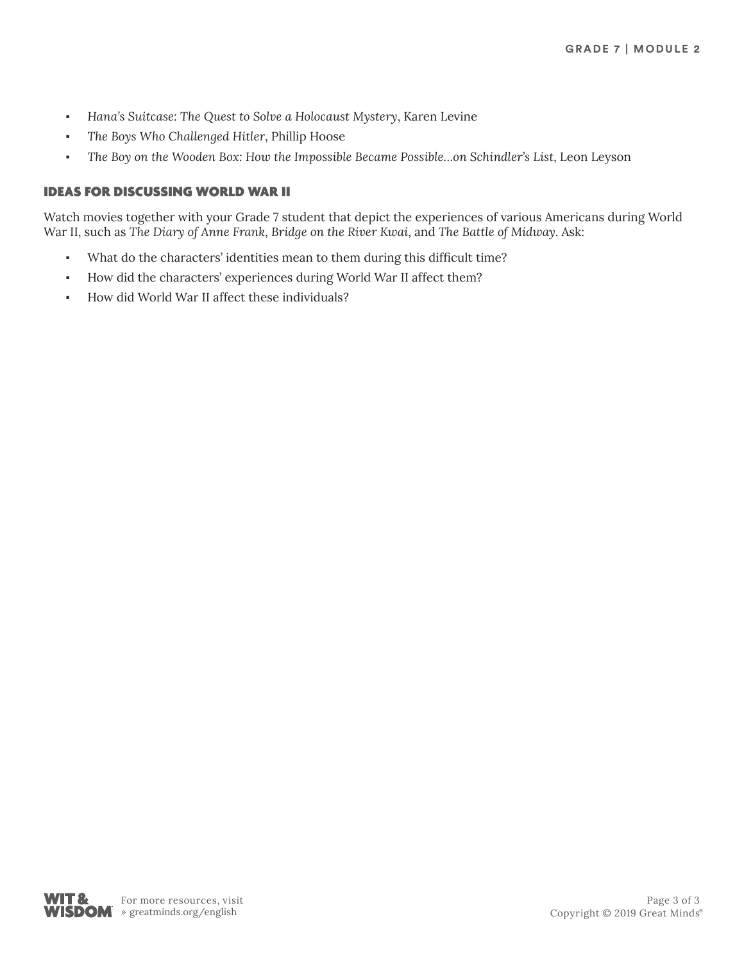- *Hana's Suitcase: The Quest to Solve a Holocaust Mystery*, Karen Levine
- The Boys Who Challenged Hitler, Phillip Hoose
- *The Boy on the Wooden Box: How the Impossible Became Possible…on Schindler's List*, Leon Leyson

# IDEAS FOR DISCUSSING WORLD WAR II

Watch movies together with your Grade 7 student that depict the experiences of various Americans during World War II, such as *The Diary of Anne Frank*, *Bridge on the River Kwai*, and *The Battle of Midway*. Ask:

- What do the characters' identities mean to them during this difficult time?
- How did the characters' experiences during World War II affect them?
- How did World War II affect these individuals?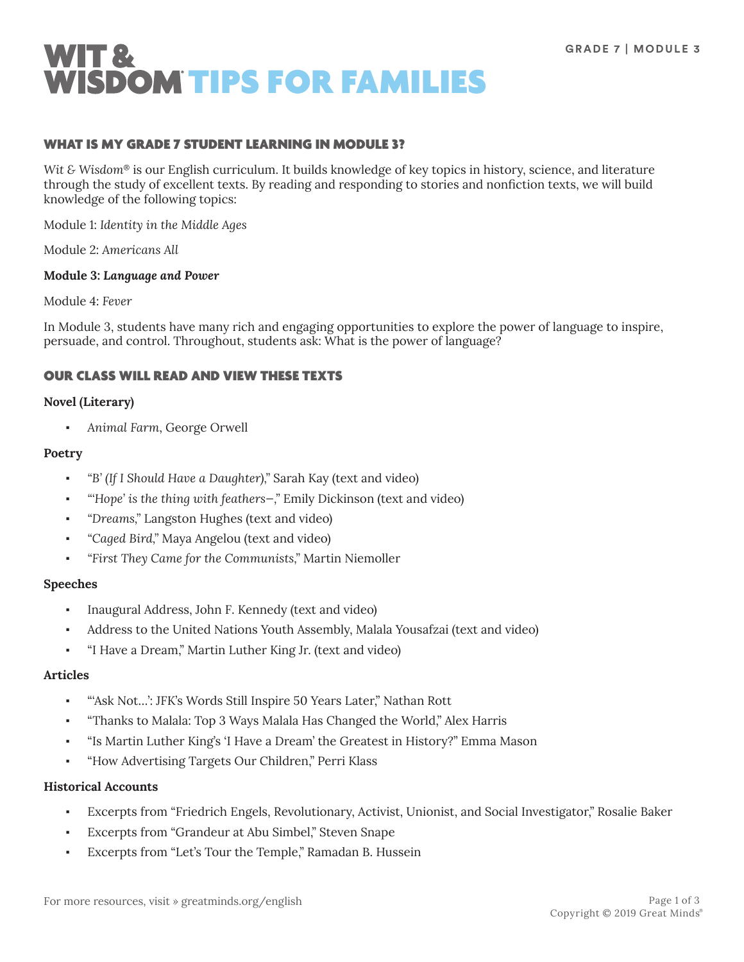

## WHAT IS MY GRADE 7 STUDENT LEARNING IN MODULE 3?

*Wit & Wisdom*® is our English curriculum. It builds knowledge of key topics in history, science, and literature through the study of excellent texts. By reading and responding to stories and nonfiction texts, we will build knowledge of the following topics:

Module 1: *Identity in the Middle Ages*

Module 2: *Americans All*

### **Module 3:** *Language and Power*

Module 4: *Fever*

In Module 3, students have many rich and engaging opportunities to explore the power of language to inspire, persuade, and control. Throughout, students ask: What is the power of language?

## OUR CLASS WILL READ AND VIEW THESE TEXTS

### **Novel (Literary)**

▪ *Animal Farm*, George Orwell

### **Poetry**

- *"B' (If I Should Have a Daughter),"* Sarah Kay (text and video)
- *"'Hope' is the thing with feathers—,"* Emily Dickinson (text and video)
- *"Dreams,"* Langston Hughes (text and video)
- *"Caged Bird,"* Maya Angelou (text and video)
- *"First They Came for the Communists,"* Martin Niemoller

#### **Speeches**

- Inaugural Address, John F. Kennedy (text and video)
- Address to the United Nations Youth Assembly, Malala Yousafzai (text and video)
- "I Have a Dream," Martin Luther King Jr. (text and video)

## **Articles**

- "'Ask Not...': JFK's Words Still Inspire 50 Years Later," Nathan Rott
- "Thanks to Malala: Top 3 Ways Malala Has Changed the World," Alex Harris
- "Is Martin Luther King's 'I Have a Dream' the Greatest in History?" Emma Mason
- "How Advertising Targets Our Children," Perri Klass

#### **Historical Accounts**

- Excerpts from "Friedrich Engels, Revolutionary, Activist, Unionist, and Social Investigator," Rosalie Baker
- Excerpts from "Grandeur at Abu Simbel," Steven Snape
- Excerpts from "Let's Tour the Temple," Ramadan B. Hussein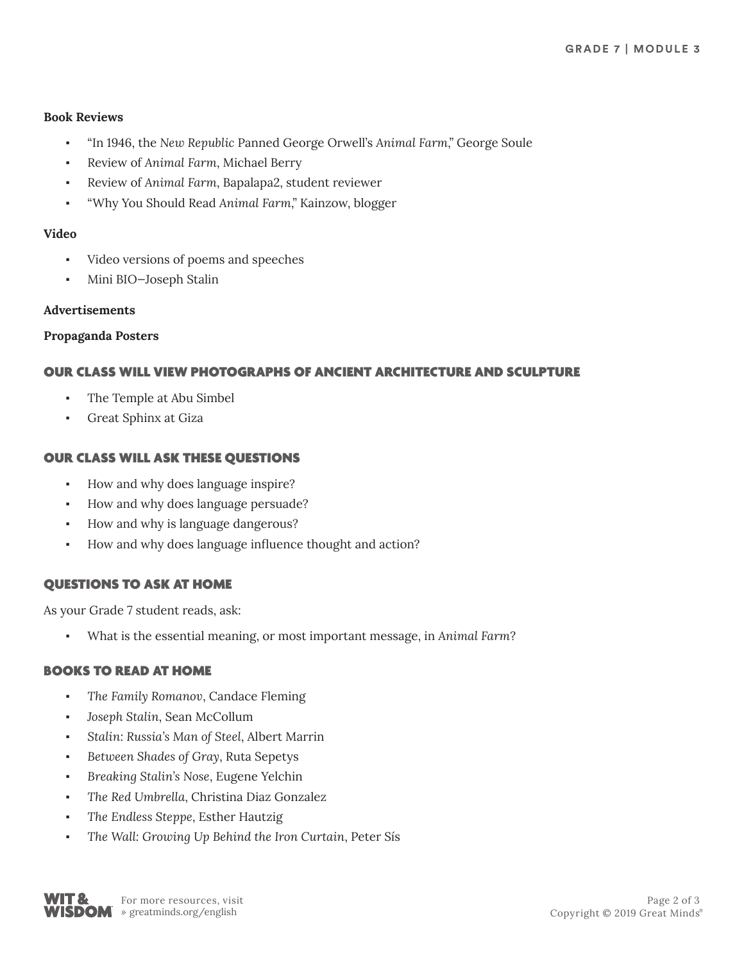# **Book Reviews**

- "In 1946, the *New Republic* Panned George Orwell's *Animal Farm*," George Soule
- Review of *Animal Farm*, Michael Berry
- Review of *Animal Farm*, Bapalapa2, student reviewer
- "Why You Should Read *Animal Farm*," Kainzow, blogger

## **Video**

- Video versions of poems and speeches
- Mini BIO-Joseph Stalin

## **Advertisements**

## **Propaganda Posters**

# OUR CLASS WILL VIEW PHOTOGRAPHS OF ANCIENT ARCHITECTURE AND SCULPTURE

- The Temple at Abu Simbel
- Great Sphinx at Giza

# OUR CLASS WILL ASK THESE QUESTIONS

- How and why does language inspire?
- How and why does language persuade?
- How and why is language dangerous?
- How and why does language influence thought and action?

# QUESTIONS TO ASK AT HOME

As your Grade 7 student reads, ask:

▪ What is the essential meaning, or most important message, in *Animal Farm*?

# BOOKS TO READ AT HOME

- The Family Romanov, Candace Fleming
- *Joseph Stalin*, Sean McCollum
- Stalin: Russia's Man of Steel, Albert Marrin
- *Between Shades of Gray*, Ruta Sepetys
- *Breaking Stalin's Nose*, Eugene Yelchin
- *The Red Umbrella*, Christina Diaz Gonzalez
- *The Endless Steppe*, Esther Hautzig
- *The Wall: Growing Up Behind the Iron Curtain*, Peter Sís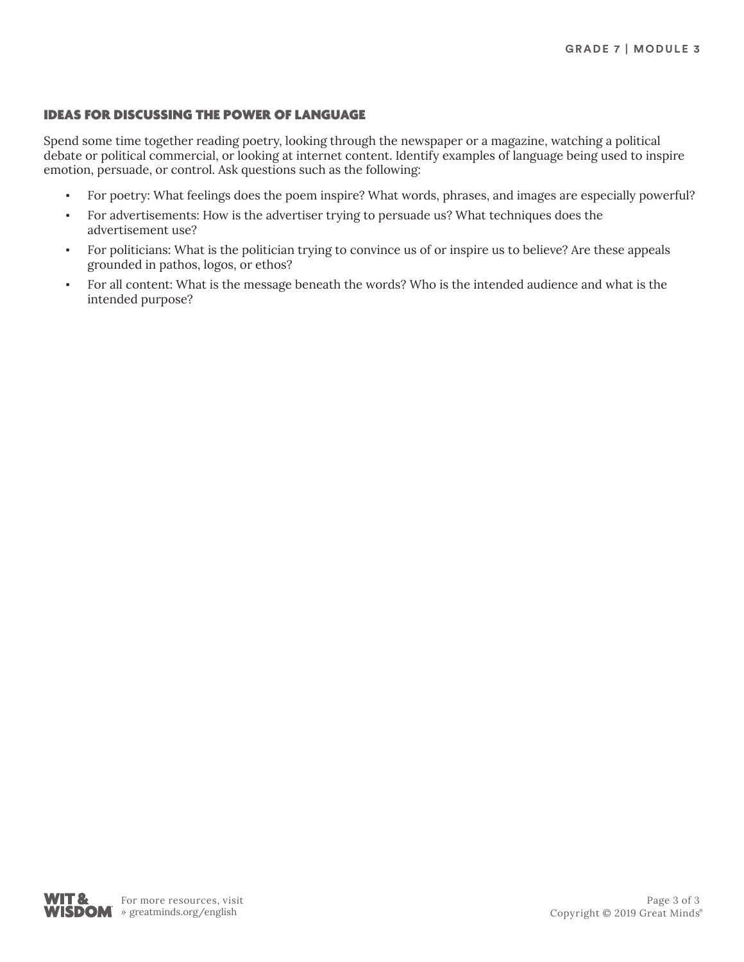# IDEAS FOR DISCUSSING THE POWER OF LANGUAGE

Spend some time together reading poetry, looking through the newspaper or a magazine, watching a political debate or political commercial, or looking at internet content. Identify examples of language being used to inspire emotion, persuade, or control. Ask questions such as the following:

- For poetry: What feelings does the poem inspire? What words, phrases, and images are especially powerful?
- For advertisements: How is the advertiser trying to persuade us? What techniques does the advertisement use?
- For politicians: What is the politician trying to convince us of or inspire us to believe? Are these appeals grounded in pathos, logos, or ethos?
- For all content: What is the message beneath the words? Who is the intended audience and what is the intended purpose?

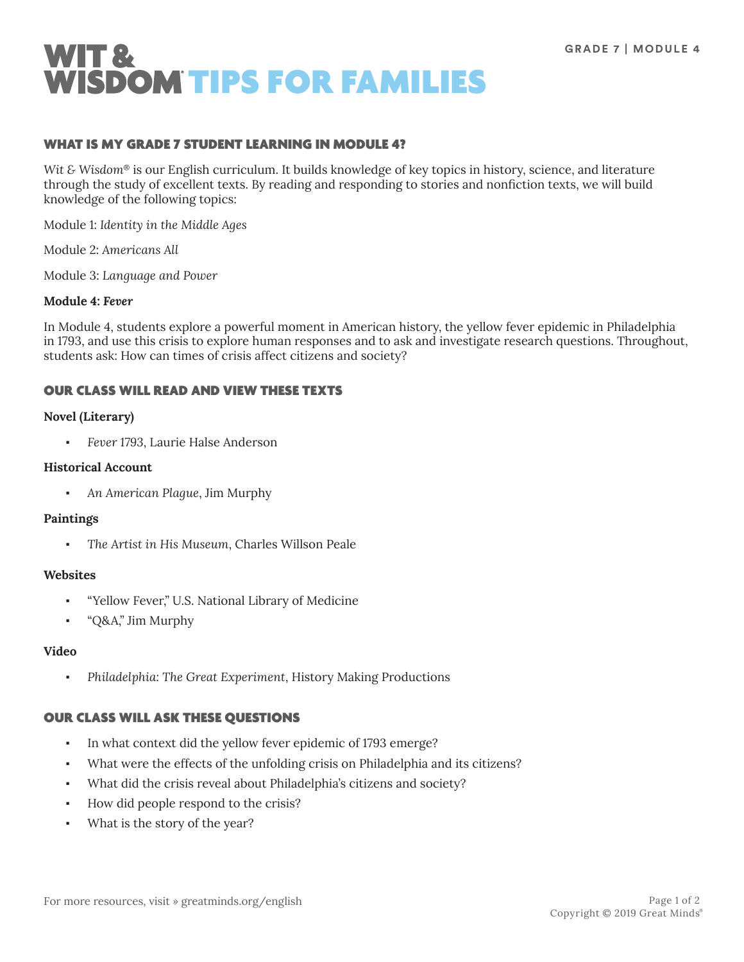

## WHAT IS MY GRADE 7 STUDENT LEARNING IN MODULE 4?

*Wit & Wisdom*® is our English curriculum. It builds knowledge of key topics in history, science, and literature through the study of excellent texts. By reading and responding to stories and nonfiction texts, we will build knowledge of the following topics:

Module 1: *Identity in the Middle Ages*

Module 2: *Americans All*

Module 3: *Language and Power*

### **Module 4:** *Fever*

In Module 4, students explore a powerful moment in American history, the yellow fever epidemic in Philadelphia in 1793, and use this crisis to explore human responses and to ask and investigate research questions. Throughout, students ask: How can times of crisis affect citizens and society?

# OUR CLASS WILL READ AND VIEW THESE TEXTS

### **Novel (Literary)**

▪ *Fever 1793*, Laurie Halse Anderson

### **Historical Account**

▪ *An American Plague*, Jim Murphy

#### **Paintings**

The Artist in His Museum, Charles Willson Peale

#### **Websites**

- "Yellow Fever," U.S. National Library of Medicine
- "Q&A," Jim Murphy

#### **Video**

▪ *Philadelphia: The Great Experiment*, History Making Productions

## OUR CLASS WILL ASK THESE QUESTIONS

- In what context did the yellow fever epidemic of 1793 emerge?
- What were the effects of the unfolding crisis on Philadelphia and its citizens?
- What did the crisis reveal about Philadelphia's citizens and society?
- How did people respond to the crisis?
- What is the story of the year?